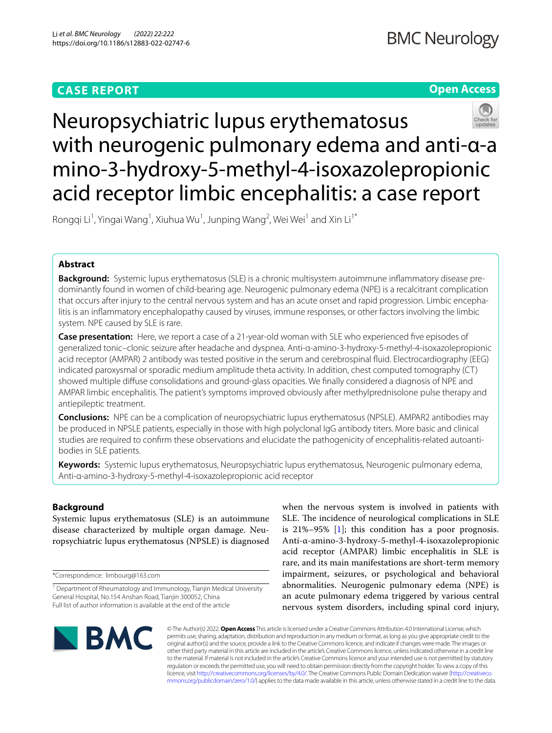# **CASE REPORT**

# **Open Access**



# Neuropsychiatric lupus erythematosus with neurogenic pulmonary edema and anti-α-a mino-3-hydroxy-5-methyl-4-isoxazolepropionic acid receptor limbic encephalitis: a case report

Rongqi Li<sup>1</sup>, Yingai Wang<sup>1</sup>, Xiuhua Wu<sup>1</sup>, Junping Wang<sup>2</sup>, Wei Wei<sup>1</sup> and Xin Li<sup>1\*</sup>

# **Abstract**

**Background:** Systemic lupus erythematosus (SLE) is a chronic multisystem autoimmune infammatory disease predominantly found in women of child-bearing age. Neurogenic pulmonary edema (NPE) is a recalcitrant complication that occurs after injury to the central nervous system and has an acute onset and rapid progression. Limbic encephalitis is an infammatory encephalopathy caused by viruses, immune responses, or other factors involving the limbic system. NPE caused by SLE is rare.

**Case presentation:** Here, we report a case of a 21-year-old woman with SLE who experienced five episodes of generalized tonic–clonic seizure after headache and dyspnea. Anti-α-amino-3-hydroxy-5-methyl-4-isoxazolepropionic acid receptor (AMPAR) 2 antibody was tested positive in the serum and cerebrospinal fuid. Electrocardiography (EEG) indicated paroxysmal or sporadic medium amplitude theta activity. In addition, chest computed tomography (CT) showed multiple difuse consolidations and ground-glass opacities. We fnally considered a diagnosis of NPE and AMPAR limbic encephalitis. The patient's symptoms improved obviously after methylprednisolone pulse therapy and antiepileptic treatment.

**Conclusions:** NPE can be a complication of neuropsychiatric lupus erythematosus (NPSLE). AMPAR2 antibodies may be produced in NPSLE patients, especially in those with high polyclonal IgG antibody titers. More basic and clinical studies are required to confrm these observations and elucidate the pathogenicity of encephalitis-related autoantibodies in SLE patients.

**Keywords:** Systemic lupus erythematosus, Neuropsychiatric lupus erythematosus, Neurogenic pulmonary edema, Anti-α-amino-3-hydroxy-5-methyl-4-isoxazolepropionic acid receptor

# **Background**

Systemic lupus erythematosus (SLE) is an autoimmune disease characterized by multiple organ damage. Neuropsychiatric lupus erythematosus (NPSLE) is diagnosed

\*Correspondence: limbourg@163.com

when the nervous system is involved in patients with SLE. The incidence of neurological complications in SLE is  $21\%-95\%$  [[1\]](#page-4-0); this condition has a poor prognosis. Anti-α-amino-3-hydroxy-5-methyl-4-isoxazolepropionic acid receptor (AMPAR) limbic encephalitis in SLE is rare, and its main manifestations are short-term memory impairment, seizures, or psychological and behavioral abnormalities. Neurogenic pulmonary edema (NPE) is an acute pulmonary edema triggered by various central nervous system disorders, including spinal cord injury,



© The Author(s) 2022. **Open Access** This article is licensed under a Creative Commons Attribution 4.0 International License, which permits use, sharing, adaptation, distribution and reproduction in any medium or format, as long as you give appropriate credit to the original author(s) and the source, provide a link to the Creative Commons licence, and indicate if changes were made. The images or other third party material in this article are included in the article's Creative Commons licence, unless indicated otherwise in a credit line to the material. If material is not included in the article's Creative Commons licence and your intended use is not permitted by statutory regulation or exceeds the permitted use, you will need to obtain permission directly from the copyright holder. To view a copy of this licence, visit [http://creativecommons.org/licenses/by/4.0/.](http://creativecommons.org/licenses/by/4.0/) The Creative Commons Public Domain Dedication waiver ([http://creativeco](http://creativecommons.org/publicdomain/zero/1.0/) [mmons.org/publicdomain/zero/1.0/](http://creativecommons.org/publicdomain/zero/1.0/)) applies to the data made available in this article, unless otherwise stated in a credit line to the data.

<sup>&</sup>lt;sup>1</sup> Department of Rheumatology and Immunology, Tianjin Medical University General Hospital, No.154 Anshan Road, Tianjin 300052, China Full list of author information is available at the end of the article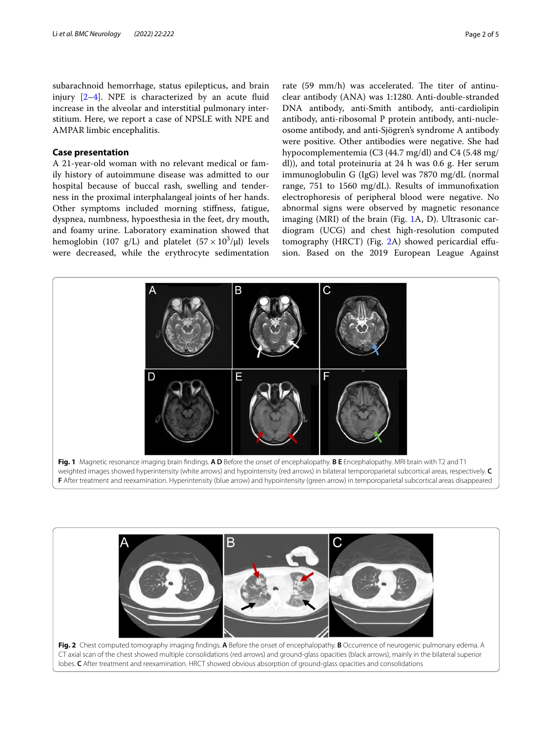subarachnoid hemorrhage, status epilepticus, and brain injury  $[2-4]$  $[2-4]$ . NPE is characterized by an acute fluid increase in the alveolar and interstitial pulmonary interstitium. Here, we report a case of NPSLE with NPE and AMPAR limbic encephalitis.

# **Case presentation**

A 21-year-old woman with no relevant medical or family history of autoimmune disease was admitted to our hospital because of buccal rash, swelling and tenderness in the proximal interphalangeal joints of her hands. Other symptoms included morning stifness, fatigue, dyspnea, numbness, hypoesthesia in the feet, dry mouth, and foamy urine. Laboratory examination showed that hemoglobin (107 g/L) and platelet  $(57 \times 10^3/\mu)$  levels were decreased, while the erythrocyte sedimentation

rate (59 mm/h) was accelerated. The titer of antinuclear antibody (ANA) was 1:1280. Anti-double-stranded DNA antibody, anti-Smith antibody, anti-cardiolipin antibody, anti-ribosomal P protein antibody, anti-nucleosome antibody, and anti-Sjögren's syndrome A antibody were positive. Other antibodies were negative. She had hypocomplementemia (C3 (44.7 mg/dl) and C4 (5.48 mg/ dl)), and total proteinuria at 24 h was 0.6 g. Her serum immunoglobulin G (IgG) level was 7870 mg/dL (normal range, 751 to 1560 mg/dL). Results of immunofxation electrophoresis of peripheral blood were negative. No abnormal signs were observed by magnetic resonance imaging (MRI) of the brain (Fig. [1A](#page-1-0), D). Ultrasonic cardiogram (UCG) and chest high-resolution computed tomography (HRCT) (Fig. [2A](#page-1-1)) showed pericardial efusion. Based on the 2019 European League Against



<span id="page-1-1"></span><span id="page-1-0"></span>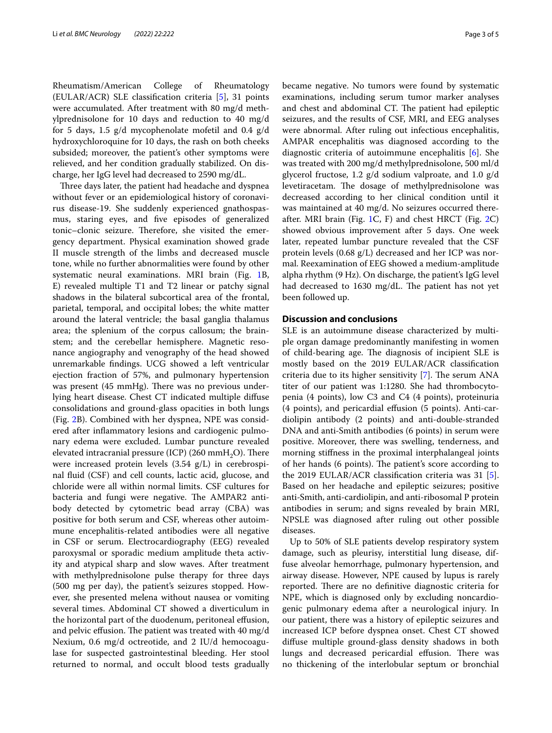Rheumatism/American College of Rheumatology (EULAR/ACR) SLE classifcation criteria [\[5](#page-4-3)], 31 points were accumulated. After treatment with 80 mg/d methylprednisolone for 10 days and reduction to 40 mg/d for 5 days, 1.5  $g/d$  mycophenolate mofetil and 0.4  $g/d$ hydroxychloroquine for 10 days, the rash on both cheeks subsided; moreover, the patient's other symptoms were relieved, and her condition gradually stabilized. On discharge, her IgG level had decreased to 2590 mg/dL.

Three days later, the patient had headache and dyspnea without fever or an epidemiological history of coronavirus disease-19. She suddenly experienced gnathospasmus, staring eyes, and fve episodes of generalized tonic–clonic seizure. Therefore, she visited the emergency department. Physical examination showed grade II muscle strength of the limbs and decreased muscle tone, while no further abnormalities were found by other systematic neural examinations. MRI brain (Fig. [1](#page-1-0)B, E) revealed multiple T1 and T2 linear or patchy signal shadows in the bilateral subcortical area of the frontal, parietal, temporal, and occipital lobes; the white matter around the lateral ventricle; the basal ganglia thalamus area; the splenium of the corpus callosum; the brainstem; and the cerebellar hemisphere. Magnetic resonance angiography and venography of the head showed unremarkable fndings. UCG showed a left ventricular ejection fraction of 57%, and pulmonary hypertension was present (45 mmHg). There was no previous underlying heart disease. Chest CT indicated multiple difuse consolidations and ground-glass opacities in both lungs (Fig. [2B](#page-1-1)). Combined with her dyspnea, NPE was considered after infammatory lesions and cardiogenic pulmonary edema were excluded. Lumbar puncture revealed elevated intracranial pressure (ICP) (260 mmH<sub>2</sub>O). There were increased protein levels (3.54 g/L) in cerebrospinal fuid (CSF) and cell counts, lactic acid, glucose, and chloride were all within normal limits. CSF cultures for bacteria and fungi were negative. The AMPAR2 antibody detected by cytometric bead array (CBA) was positive for both serum and CSF, whereas other autoimmune encephalitis-related antibodies were all negative in CSF or serum. Electrocardiography (EEG) revealed paroxysmal or sporadic medium amplitude theta activity and atypical sharp and slow waves. After treatment with methylprednisolone pulse therapy for three days (500 mg per day), the patient's seizures stopped. However, she presented melena without nausea or vomiting several times. Abdominal CT showed a diverticulum in the horizontal part of the duodenum, peritoneal efusion, and pelvic effusion. The patient was treated with 40 mg/d Nexium, 0.6 mg/d octreotide, and 2 IU/d hemocoagulase for suspected gastrointestinal bleeding. Her stool returned to normal, and occult blood tests gradually became negative. No tumors were found by systematic examinations, including serum tumor marker analyses and chest and abdominal CT. The patient had epileptic seizures, and the results of CSF, MRI, and EEG analyses were abnormal. After ruling out infectious encephalitis, AMPAR encephalitis was diagnosed according to the diagnostic criteria of autoimmune encephalitis [\[6](#page-4-4)]. She was treated with 200 mg/d methylprednisolone, 500 ml/d glycerol fructose, 1.2 g/d sodium valproate, and 1.0 g/d levetiracetam. The dosage of methylprednisolone was decreased according to her clinical condition until it was maintained at 40 mg/d. No seizures occurred thereafter. MRI brain (Fig. [1C](#page-1-0), F) and chest HRCT (Fig. [2](#page-1-1)C) showed obvious improvement after 5 days. One week later, repeated lumbar puncture revealed that the CSF protein levels (0.68 g/L) decreased and her ICP was normal. Reexamination of EEG showed a medium-amplitude alpha rhythm (9 Hz). On discharge, the patient's IgG level had decreased to 1630 mg/dL. The patient has not yet been followed up.

# **Discussion and conclusions**

SLE is an autoimmune disease characterized by multiple organ damage predominantly manifesting in women of child-bearing age. The diagnosis of incipient SLE is mostly based on the 2019 EULAR/ACR classifcation criteria due to its higher sensitivity  $[7]$  $[7]$ . The serum ANA titer of our patient was 1:1280. She had thrombocytopenia (4 points), low C3 and C4 (4 points), proteinuria (4 points), and pericardial efusion (5 points). Anti-cardiolipin antibody (2 points) and anti-double-stranded DNA and anti-Smith antibodies (6 points) in serum were positive. Moreover, there was swelling, tenderness, and morning stifness in the proximal interphalangeal joints of her hands (6 points). The patient's score according to the 2019 EULAR/ACR classifcation criteria was 31 [\[5](#page-4-3)]. Based on her headache and epileptic seizures; positive anti-Smith, anti-cardiolipin, and anti-ribosomal P protein antibodies in serum; and signs revealed by brain MRI, NPSLE was diagnosed after ruling out other possible diseases.

Up to 50% of SLE patients develop respiratory system damage, such as pleurisy, interstitial lung disease, diffuse alveolar hemorrhage, pulmonary hypertension, and airway disease. However, NPE caused by lupus is rarely reported. There are no definitive diagnostic criteria for NPE, which is diagnosed only by excluding noncardiogenic pulmonary edema after a neurological injury. In our patient, there was a history of epileptic seizures and increased ICP before dyspnea onset. Chest CT showed difuse multiple ground-glass density shadows in both lungs and decreased pericardial effusion. There was no thickening of the interlobular septum or bronchial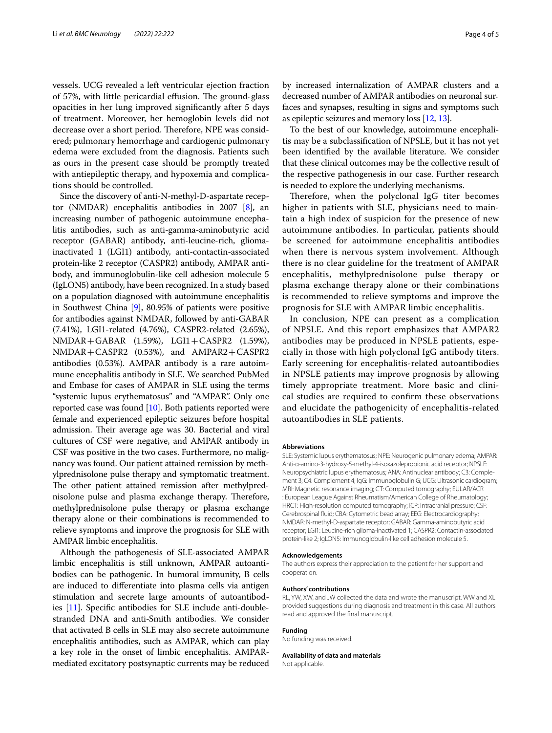vessels. UCG revealed a left ventricular ejection fraction of 57%, with little pericardial effusion. The ground-glass opacities in her lung improved signifcantly after 5 days of treatment. Moreover, her hemoglobin levels did not decrease over a short period. Therefore, NPE was considered; pulmonary hemorrhage and cardiogenic pulmonary edema were excluded from the diagnosis. Patients such as ours in the present case should be promptly treated with antiepileptic therapy, and hypoxemia and complications should be controlled.

Since the discovery of anti-N-methyl-D-aspartate receptor (NMDAR) encephalitis antibodies in 2007 [\[8\]](#page-4-6), an increasing number of pathogenic autoimmune encephalitis antibodies, such as anti-gamma-aminobutyric acid receptor (GABAR) antibody, anti-leucine-rich, gliomainactivated 1 (LGI1) antibody, anti-contactin-associated protein-like 2 receptor (CASPR2) antibody, AMPAR antibody, and immunoglobulin-like cell adhesion molecule 5 (IgLON5) antibody, have been recognized. In a study based on a population diagnosed with autoimmune encephalitis in Southwest China [\[9](#page-4-7)], 80.95% of patients were positive for antibodies against NMDAR, followed by anti-GABAR (7.41%), LGI1-related (4.76%), CASPR2-related (2.65%), NMDAR+GABAR (1.59%), LGI1+CASPR2 (1.59%), NMDAR+CASPR2 (0.53%), and AMPAR2+CASPR2 antibodies (0.53%). AMPAR antibody is a rare autoimmune encephalitis antibody in SLE. We searched PubMed and Embase for cases of AMPAR in SLE using the terms "systemic lupus erythematosus" and "AMPAR". Only one reported case was found  $[10]$  $[10]$ . Both patients reported were female and experienced epileptic seizures before hospital admission. Their average age was 30. Bacterial and viral cultures of CSF were negative, and AMPAR antibody in CSF was positive in the two cases. Furthermore, no malignancy was found. Our patient attained remission by methylprednisolone pulse therapy and symptomatic treatment. The other patient attained remission after methylprednisolone pulse and plasma exchange therapy. Therefore, methylprednisolone pulse therapy or plasma exchange therapy alone or their combinations is recommended to relieve symptoms and improve the prognosis for SLE with AMPAR limbic encephalitis.

Although the pathogenesis of SLE-associated AMPAR limbic encephalitis is still unknown, AMPAR autoantibodies can be pathogenic. In humoral immunity, B cells are induced to diferentiate into plasma cells via antigen stimulation and secrete large amounts of autoantibodies [\[11\]](#page-4-9). Specifc antibodies for SLE include anti-doublestranded DNA and anti-Smith antibodies. We consider that activated B cells in SLE may also secrete autoimmune encephalitis antibodies, such as AMPAR, which can play a key role in the onset of limbic encephalitis. AMPARmediated excitatory postsynaptic currents may be reduced by increased internalization of AMPAR clusters and a decreased number of AMPAR antibodies on neuronal surfaces and synapses, resulting in signs and symptoms such as epileptic seizures and memory loss [\[12,](#page-4-10) [13](#page-4-11)].

To the best of our knowledge, autoimmune encephalitis may be a subclassifcation of NPSLE, but it has not yet been identifed by the available literature. We consider that these clinical outcomes may be the collective result of the respective pathogenesis in our case. Further research is needed to explore the underlying mechanisms.

Therefore, when the polyclonal IgG titer becomes higher in patients with SLE, physicians need to maintain a high index of suspicion for the presence of new autoimmune antibodies. In particular, patients should be screened for autoimmune encephalitis antibodies when there is nervous system involvement. Although there is no clear guideline for the treatment of AMPAR encephalitis, methylprednisolone pulse therapy or plasma exchange therapy alone or their combinations is recommended to relieve symptoms and improve the prognosis for SLE with AMPAR limbic encephalitis.

In conclusion, NPE can present as a complication of NPSLE. And this report emphasizes that AMPAR2 antibodies may be produced in NPSLE patients, especially in those with high polyclonal IgG antibody titers. Early screening for encephalitis-related autoantibodies in NPSLE patients may improve prognosis by allowing timely appropriate treatment. More basic and clinical studies are required to confrm these observations and elucidate the pathogenicity of encephalitis-related autoantibodies in SLE patients.

#### **Abbreviations**

SLE: Systemic lupus erythematosus; NPE: Neurogenic pulmonary edema; AMPAR: Anti-α-amino-3-hydroxy-5-methyl-4-isoxazolepropionic acid receptor; NPSLE: Neuropsychiatric lupus erythematosus; ANA: Antinuclear antibody; C3: Complement 3; C4: Complement 4; IgG: Immunoglobulin G; UCG: Ultrasonic cardiogram; MRI: Magnetic resonance imaging; CT: Computed tomography; EULAR/ACR : European League Against Rheumatism/American College of Rheumatology; HRCT: High-resolution computed tomography; ICP: Intracranial pressure; CSF: Cerebrospinal fuid; CBA: Cytometric bead array; EEG: Electrocardiography; NMDAR: N-methyl-D-aspartate receptor; GABAR: Gamma-aminobutyric acid receptor; LGI1: Leucine-rich glioma-inactivated 1; CASPR2: Contactin-associated protein-like 2; IgLON5: Immunoglobulin-like cell adhesion molecule 5.

#### **Acknowledgements**

The authors express their appreciation to the patient for her support and cooperation.

#### **Authors' contributions**

RL, YW, XW, and JW collected the data and wrote the manuscript. WW and XL provided suggestions during diagnosis and treatment in this case. All authors read and approved the fnal manuscript.

#### **Funding**

No funding was received.

**Availability of data and materials**

Not applicable.